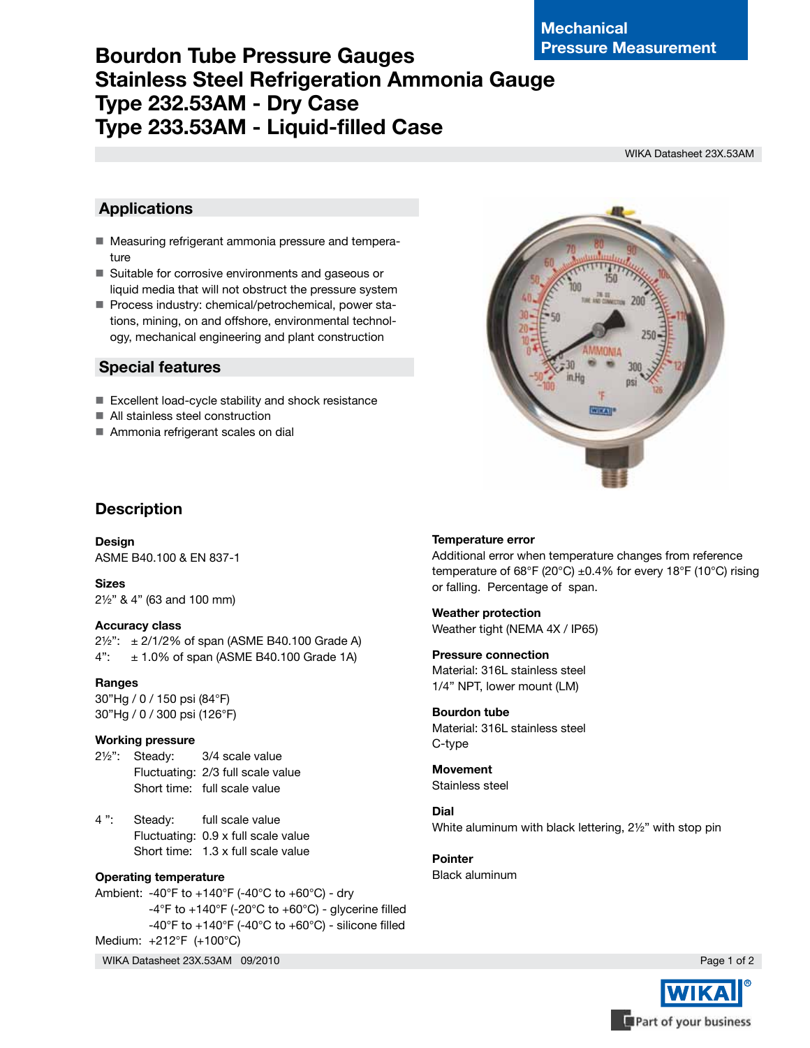# **Bourdon Tube Pressure Gauges Stainless Steel Refrigeration Ammonia Gauge Type 232.53AM - Dry Case Type 233.53AM - Liquid-filled Case**

WIKA Datasheet 23X.53AM

## **Applications**

- Measuring refrigerant ammonia pressure and temperature
- Suitable for corrosive environments and gaseous or liquid media that will not obstruct the pressure system
- Process industry: chemical/petrochemical, power stations, mining, on and offshore, environmental technology, mechanical engineering and plant construction

## **Special features**

- Excellent load-cycle stability and shock resistance
- All stainless steel construction
- Ammonia refrigerant scales on dial

## **Description**

**Design** ASME B40.100 & EN 837-1

**Sizes** 2½" & 4" (63 and 100 mm)

### **Accuracy class**

 $2\frac{1}{2}$ ":  $\pm 2\frac{1}{2}\%$  of span (ASME B40.100 Grade A)  $4"$ :  $\pm$  1.0% of span (ASME B40.100 Grade 1A)

### **Ranges**

30"Hg / 0 / 150 psi (84°F) 30"Hg / 0 / 300 psi (126°F)

### **Working pressure**

- 2½": Steady: 3/4 scale value Fluctuating: 2/3 full scale value Short time: full scale value
- 4 ": Steady: full scale value Fluctuating: 0.9 x full scale value Short time: 1.3 x full scale value

### **Operating temperature**

Ambient: -40°F to +140°F (-40°C to +60°C) - dry  $-4^{\circ}$ F to  $+140^{\circ}$ F (-20 $^{\circ}$ C to  $+60^{\circ}$ C) - glycerine filled -40°F to +140°F (-40°C to +60°C) - silicone filled Medium: +212°F (+100°C)

WIKA Datasheet 23X.53AM 09/2010

### **Temperature error**

Additional error when temperature changes from reference temperature of 68°F (20°C)  $\pm$ 0.4% for every 18°F (10°C) rising or falling. Percentage of span.

**Weather protection** Weather tight (NEMA 4X / IP65)

**Pressure connection** Material: 316L stainless steel 1/4" NPT, lower mount (LM)

**Bourdon tube** Material: 316L stainless steel C-type

**Movement** Stainless steel

**Dial** White aluminum with black lettering, 2½" with stop pin

**Pointer** Black aluminum